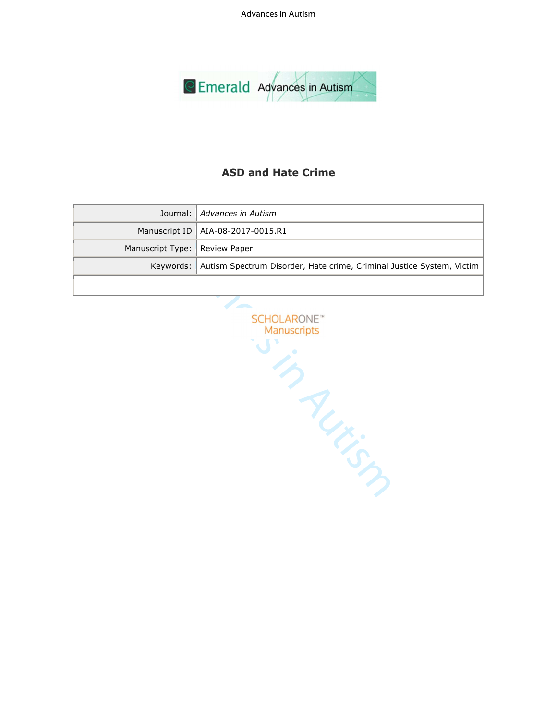Advances in Autism



# **ASD and Hate Crime**

|                               | Journal: Advances in Autism                                                       |
|-------------------------------|-----------------------------------------------------------------------------------|
|                               | Manuscript ID   AIA-08-2017-0015.R1                                               |
| Manuscript Type: Review Paper |                                                                                   |
|                               | Keywords:   Autism Spectrum Disorder, Hate crime, Criminal Justice System, Victim |
|                               |                                                                                   |

SCHOLARONE"<br>Manuscripts<br>
And Contract Contract Contract Contract Contract Contract Contract Contract Contract Contract Contract Contract Contract Contract Contract Contract Contract Contract Contract Contract Contract Cont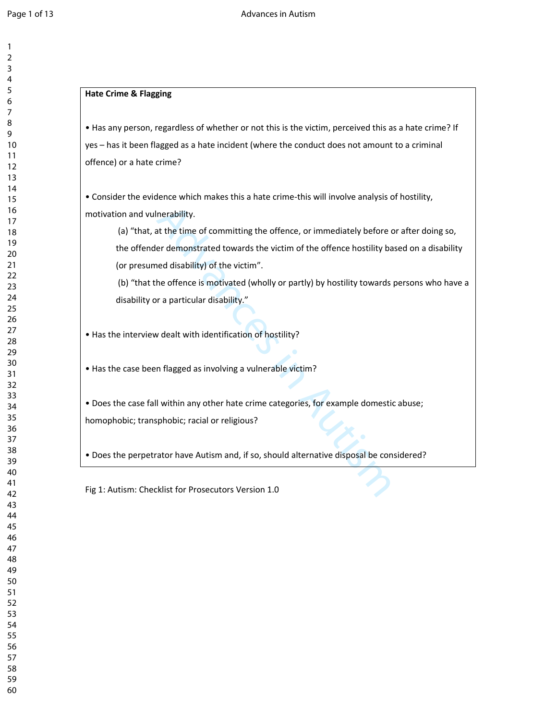## **Hate Crime & Flagging**

• Has any person, regardless of whether or not this is the victim, perceived this as a hate crime? If yes – has it been flagged as a hate incident (where the conduct does not amount to a criminal offence) or a hate crime?

• Consider the evidence which makes this a hate crime-this will involve analysis of hostility, motivation and vulnerability.

Inerability.<br>
at the time of committing the offence, or immediately before c<br>
er demonstrated towards the victim of the offence hostility ba<br>
he offence is motivated (wholly or partly) by hostility towards<br>
r a particular (a) "that, at the time of committing the offence, or immediately before or after doing so, the offender demonstrated towards the victim of the offence hostility based on a disability (or presumed disability) of the victim".

 (b) "that the offence is motivated (wholly or partly) by hostility towards persons who have a disability or a particular disability."

• Has the interview dealt with identification of hostility?

• Has the case been flagged as involving a vulnerable victim?

• Does the case fall within any other hate crime categories, for example domestic abuse; homophobic; transphobic; racial or religious?

• Does the perpetrator have Autism and, if so, should alternative disposal be considered?

Fig 1: Autism: Checklist for Prosecutors Version 1.0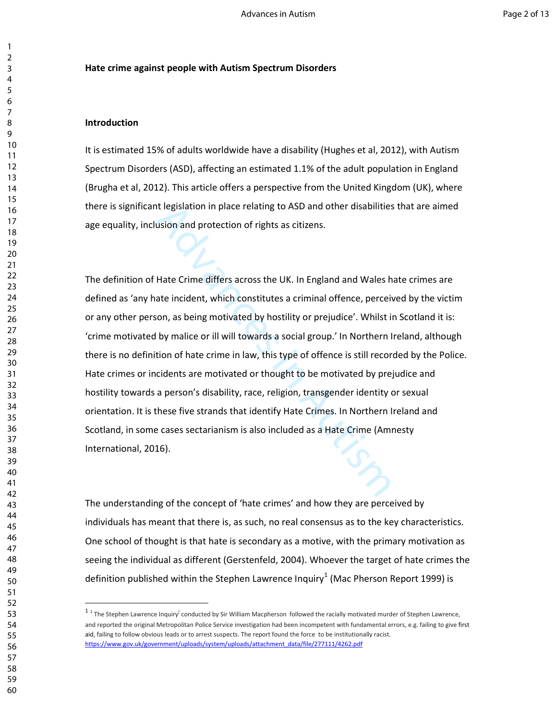#### **Hate crime against people with Autism Spectrum Disorders**

## **Introduction**

It is estimated 15% of adults worldwide have a disability (Hughes et al, 2012), with Autism Spectrum Disorders (ASD), affecting an estimated 1.1% of the adult population in England (Brugha et al, 2012). This article offers a perspective from the United Kingdom (UK), where there is significant legislation in place relating to ASD and other disabilities that are aimed age equality, inclusion and protection of rights as citizens.

It legislation in place relating to ASD and other disabilities<br>usion and protection of rights as citizens.<br>Hate Crime differs across the UK. In England and Wales h<br>ate incident, which constitutes a criminal offence, percei The definition of Hate Crime differs across the UK. In England and Wales hate crimes are defined as 'any hate incident, which constitutes a criminal offence, perceived by the victim or any other person, as being motivated by hostility or prejudice'. Whilst in Scotland it is: 'crime motivated by malice or ill will towards a social group.' In Northern Ireland, although there is no definition of hate crime in law, this type of offence is still recorded by the Police. Hate crimes or incidents are motivated or thought to be motivated by prejudice and hostility towards a person's disability, race, religion, transgender identity or sexual orientation. It is these five strands that identify Hate Crimes. In Northern Ireland and Scotland, in some cases sectarianism is also included as a Hate Crime (Amnesty International, 2016).

The understanding of the concept of 'hate crimes' and how they are perceived by individuals has meant that there is, as such, no real consensus as to the key characteristics. One school of thought is that hate is secondary as a motive, with the primary motivation as seeing the individual as different (Gerstenfeld, 2004). Whoever the target of hate crimes the definition published within the Stephen Lawrence Inquiry<sup>1</sup> (Mac Pherson Report 1999) is

 $^1$  <sup>1</sup> The Stephen Lawrence Inquiry<sup>l</sup> conducted by Sir William Macpherson followed the racially motivated murder of Stephen Lawrence, and reported the original Metropolitan Police Service investigation had been incompetent with fundamental errors, e.g. failing to give first aid, failing to follow obvious leads or to arrest suspects. The report found the force to be institutionally racist. https://www.gov.uk/government/uploads/system/uploads/attachment\_data/file/277111/4262.pdf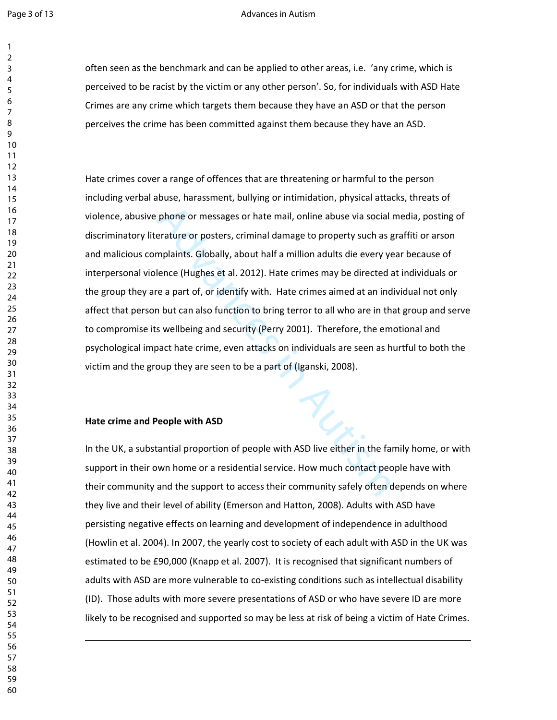#### Page 3 of 13 Advances in Autism

often seen as the benchmark and can be applied to other areas, i.e. 'any crime, which is perceived to be racist by the victim or any other person'. So, for individuals with ASD Hate Crimes are any crime which targets them because they have an ASD or that the person perceives the crime has been committed against them because they have an ASD.

phone or messages or hate mail, online abuse via social rerature or posters, criminal damage to property such as g<br>mplaints. Globally, about half a million adults die every yelence (Hughes et al. 2012). Hate crimes may be Hate crimes cover a range of offences that are threatening or harmful to the person including verbal abuse, harassment, bullying or intimidation, physical attacks, threats of violence, abusive phone or messages or hate mail, online abuse via social media, posting of discriminatory literature or posters, criminal damage to property such as graffiti or arson and malicious complaints. Globally, about half a million adults die every year because of interpersonal violence (Hughes et al. 2012). Hate crimes may be directed at individuals or the group they are a part of, or identify with. Hate crimes aimed at an individual not only affect that person but can also function to bring terror to all who are in that group and serve to compromise its wellbeing and security (Perry 2001). Therefore, the emotional and psychological impact hate crime, even attacks on individuals are seen as hurtful to both the victim and the group they are seen to be a part of (Iganski, 2008).

# **Hate crime and People with ASD**

In the UK, a substantial proportion of people with ASD live either in the family home, or with support in their own home or a residential service. How much contact people have with their community and the support to access their community safely often depends on where they live and their level of ability (Emerson and Hatton, 2008). Adults with ASD have persisting negative effects on learning and development of independence in adulthood (Howlin et al. 2004). In 2007, the yearly cost to society of each adult with ASD in the UK was estimated to be £90,000 (Knapp et al. 2007). It is recognised that significant numbers of adults with ASD are more vulnerable to co-existing conditions such as intellectual disability (ID). Those adults with more severe presentations of ASD or who have severe ID are more likely to be recognised and supported so may be less at risk of being a victim of Hate Crimes.

   $\overline{a}$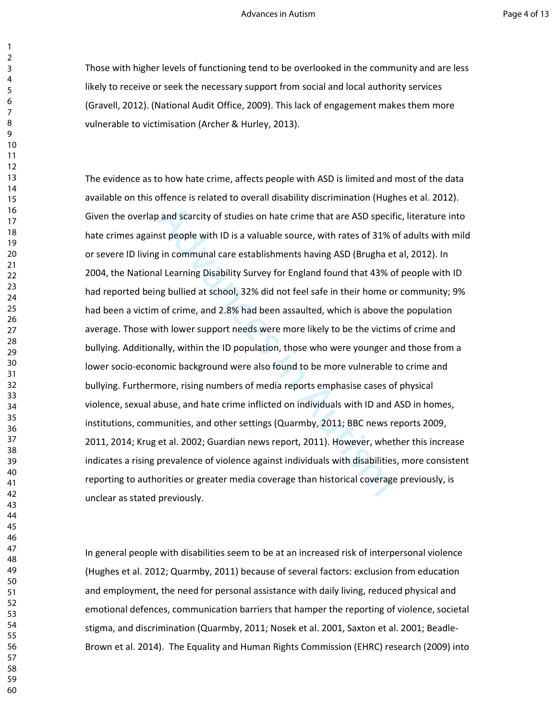Those with higher levels of functioning tend to be overlooked in the community and are less likely to receive or seek the necessary support from social and local authority services (Gravell, 2012). (National Audit Office, 2009). This lack of engagement makes them more vulnerable to victimisation (Archer & Hurley, 2013).

b and scarcity of studies on hate crime that are ASD specinat people with ID is a valuable source, with rates of 31% g in communal care establishments having ASD (Brugha e al Learning Disability Survey for England found th The evidence as to how hate crime, affects people with ASD is limited and most of the data available on this offence is related to overall disability discrimination (Hughes et al. 2012). Given the overlap and scarcity of studies on hate crime that are ASD specific, literature into hate crimes against people with ID is a valuable source, with rates of 31% of adults with mild or severe ID living in communal care establishments having ASD (Brugha et al, 2012). In 2004, the National Learning Disability Survey for England found that 43% of people with ID had reported being bullied at school, 32% did not feel safe in their home or community; 9% had been a victim of crime, and 2.8% had been assaulted, which is above the population average. Those with lower support needs were more likely to be the victims of crime and bullying. Additionally, within the ID population, those who were younger and those from a lower socio-economic background were also found to be more vulnerable to crime and bullying. Furthermore, rising numbers of media reports emphasise cases of physical violence, sexual abuse, and hate crime inflicted on individuals with ID and ASD in homes, institutions, communities, and other settings (Quarmby, 2011; BBC news reports 2009, 2011, 2014; Krug et al. 2002; Guardian news report, 2011). However, whether this increase indicates a rising prevalence of violence against individuals with disabilities, more consistent reporting to authorities or greater media coverage than historical coverage previously, is unclear as stated previously.

In general people with disabilities seem to be at an increased risk of interpersonal violence (Hughes et al. 2012; Quarmby, 2011) because of several factors: exclusion from education and employment, the need for personal assistance with daily living, reduced physical and emotional defences, communication barriers that hamper the reporting of violence, societal stigma, and discrimination (Quarmby, 2011; Nosek et al. 2001, Saxton et al. 2001; Beadle-Brown et al. 2014). The Equality and Human Rights Commission (EHRC) research (2009) into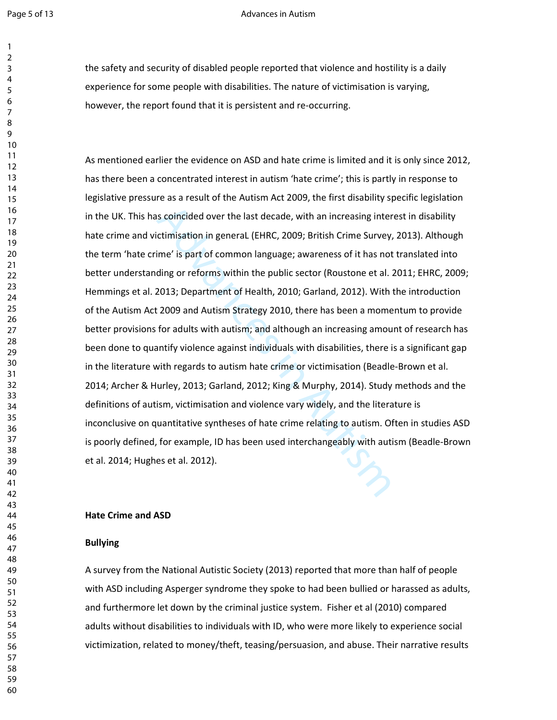#### Page 5 of 13 Advances in Autism

the safety and security of disabled people reported that violence and hostility is a daily experience for some people with disabilities. The nature of victimisation is varying, however, the report found that it is persistent and re-occurring.

is coincided over the last decade, with an increasing inter<br>ictimisation in general (EHRC, 2009; British Crime Survey,<br>ime' is part of common language; awareness of it has not<br>ding or reforms within the public sector (Rous As mentioned earlier the evidence on ASD and hate crime is limited and it is only since 2012, has there been a concentrated interest in autism 'hate crime'; this is partly in response to legislative pressure as a result of the Autism Act 2009, the first disability specific legislation in the UK. This has coincided over the last decade, with an increasing interest in disability hate crime and victimisation in generaL (EHRC, 2009; British Crime Survey, 2013). Although the term 'hate crime' is part of common language; awareness of it has not translated into better understanding or reforms within the public sector (Roustone et al. 2011; EHRC, 2009; Hemmings et al. 2013; Department of Health, 2010; Garland, 2012). With the introduction of the Autism Act 2009 and Autism Strategy 2010, there has been a momentum to provide better provisions for adults with autism; and although an increasing amount of research has been done to quantify violence against individuals with disabilities, there is a significant gap in the literature with regards to autism hate crime or victimisation (Beadle-Brown et al. 2014; Archer & Hurley, 2013; Garland, 2012; King & Murphy, 2014). Study methods and the definitions of autism, victimisation and violence vary widely, and the literature is inconclusive on quantitative syntheses of hate crime relating to autism. Often in studies ASD is poorly defined, for example, ID has been used interchangeably with autism (Beadle-Brown et al. 2014; Hughes et al. 2012).

## **Hate Crime and ASD**

# **Bullying**

A survey from the National Autistic Society (2013) reported that more than half of people with ASD including Asperger syndrome they spoke to had been bullied or harassed as adults, and furthermore let down by the criminal justice system. Fisher et al (2010) compared adults without disabilities to individuals with ID, who were more likely to experience social victimization, related to money/theft, teasing/persuasion, and abuse. Their narrative results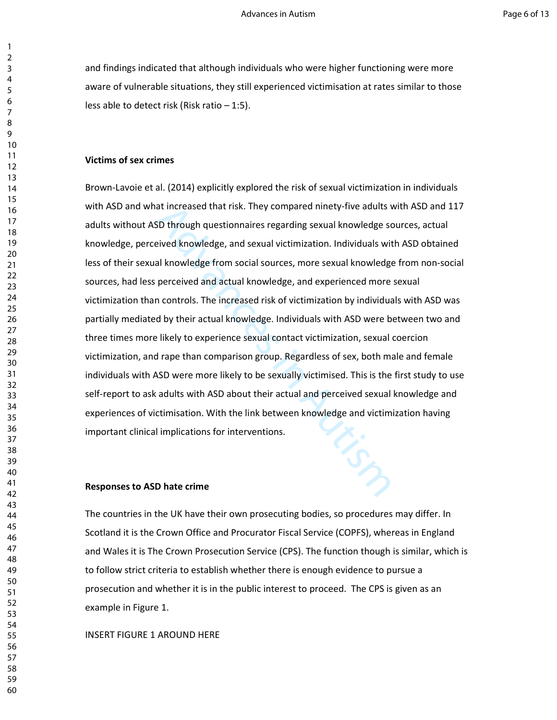and findings indicated that although individuals who were higher functioning were more aware of vulnerable situations, they still experienced victimisation at rates similar to those less able to detect risk (Risk ratio  $-1:5$ ).

### **Victims of sex crimes**

at increased that risk. They compared ninety-five adults v<br>SD through questionnaires regarding sexual knowledge sc<br>sived knowledge, and sexual victimization. Individuals wit<br>al knowledge from social sources, more sexual kn Brown-Lavoie et al. (2014) explicitly explored the risk of sexual victimization in individuals with ASD and what increased that risk. They compared ninety-five adults with ASD and 117 adults without ASD through questionnaires regarding sexual knowledge sources, actual knowledge, perceived knowledge, and sexual victimization. Individuals with ASD obtained less of their sexual knowledge from social sources, more sexual knowledge from non-social sources, had less perceived and actual knowledge, and experienced more sexual victimization than controls. The increased risk of victimization by individuals with ASD was partially mediated by their actual knowledge. Individuals with ASD were between two and three times more likely to experience sexual contact victimization, sexual coercion victimization, and rape than comparison group. Regardless of sex, both male and female individuals with ASD were more likely to be sexually victimised. This is the first study to use self-report to ask adults with ASD about their actual and perceived sexual knowledge and experiences of victimisation. With the link between knowledge and victimization having important clinical implications for interventions.

### **Responses to ASD hate crime**

The countries in the UK have their own prosecuting bodies, so procedures may differ. In Scotland it is the Crown Office and Procurator Fiscal Service (COPFS), whereas in England and Wales it is The Crown Prosecution Service (CPS). The function though is similar, which is to follow strict criteria to establish whether there is enough evidence to pursue a prosecution and whether it is in the public interest to proceed. The CPS is given as an example in Figure 1.

INSERT FIGURE 1 AROUND HERE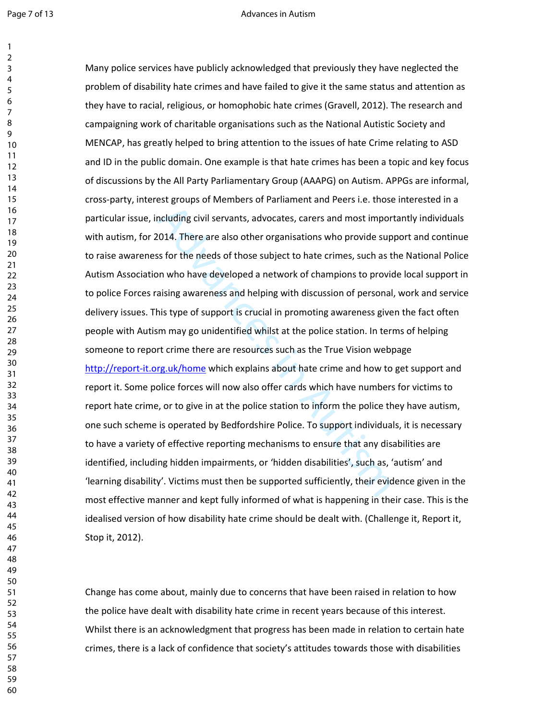#### Page 7 of 13 Advances in Autism

and a most implant and the transmitted and the subset of the subsety.<br>
Analog givil servants, advocates, carers and most important and the subset of those subject to hate crimes, such as to no who have developed a network Many police services have publicly acknowledged that previously they have neglected the problem of disability hate crimes and have failed to give it the same status and attention as they have to racial, religious, or homophobic hate crimes (Gravell, 2012). The research and campaigning work of charitable organisations such as the National Autistic Society and MENCAP, has greatly helped to bring attention to the issues of hate Crime relating to ASD and ID in the public domain. One example is that hate crimes has been a topic and key focus of discussions by the All Party Parliamentary Group (AAAPG) on Autism. APPGs are informal, cross-party, interest groups of Members of Parliament and Peers i.e. those interested in a particular issue, including civil servants, advocates, carers and most importantly individuals with autism, for 2014. There are also other organisations who provide support and continue to raise awareness for the needs of those subject to hate crimes, such as the National Police Autism Association who have developed a network of champions to provide local support in to police Forces raising awareness and helping with discussion of personal, work and service delivery issues. This type of support is crucial in promoting awareness given the fact often people with Autism may go unidentified whilst at the police station. In terms of helping someone to report crime there are resources such as the True Vision webpage http://report-it.org.uk/home which explains about hate crime and how to get support and report it. Some police forces will now also offer cards which have numbers for victims to report hate crime, or to give in at the police station to inform the police they have autism, one such scheme is operated by Bedfordshire Police. To support individuals, it is necessary to have a variety of effective reporting mechanisms to ensure that any disabilities are identified, including hidden impairments, or 'hidden disabilities', such as, 'autism' and 'learning disability'. Victims must then be supported sufficiently, their evidence given in the most effective manner and kept fully informed of what is happening in their case. This is the idealised version of how disability hate crime should be dealt with. (Challenge it, Report it, Stop it, 2012).

Change has come about, mainly due to concerns that have been raised in relation to how the police have dealt with disability hate crime in recent years because of this interest. Whilst there is an acknowledgment that progress has been made in relation to certain hate crimes, there is a lack of confidence that society's attitudes towards those with disabilities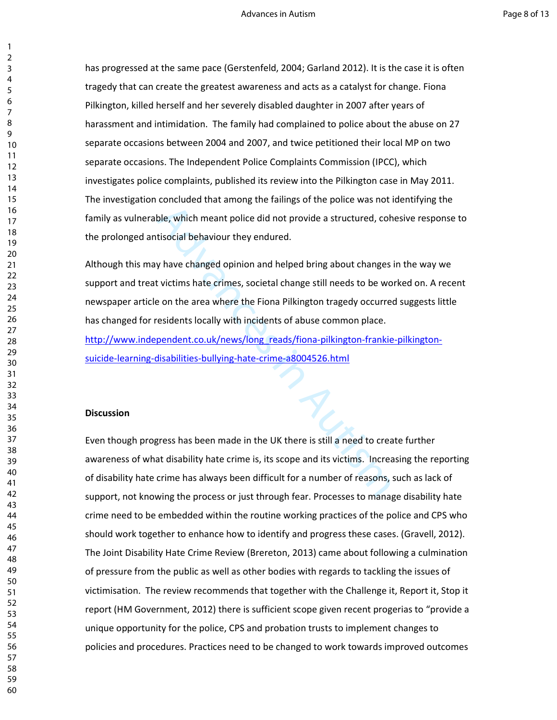has progressed at the same pace (Gerstenfeld, 2004; Garland 2012). It is the case it is often tragedy that can create the greatest awareness and acts as a catalyst for change. Fiona Pilkington, killed herself and her severely disabled daughter in 2007 after years of harassment and intimidation. The family had complained to police about the abuse on 27 separate occasions between 2004 and 2007, and twice petitioned their local MP on two separate occasions. The Independent Police Complaints Commission (IPCC), which investigates police complaints, published its review into the Pilkington case in May 2011. The investigation concluded that among the failings of the police was not identifying the family as vulnerable, which meant police did not provide a structured, cohesive response to the prolonged antisocial behaviour they endured.

ble, which meant police did not provide a structured, coh<br>tisocial behaviour they endured.<br>y have changed opinion and helped bring about changes<br>t victims hate crimes, societal change still needs to be wo<br>e on the area whe Although this may have changed opinion and helped bring about changes in the way we support and treat victims hate crimes, societal change still needs to be worked on. A recent newspaper article on the area where the Fiona Pilkington tragedy occurred suggests little has changed for residents locally with incidents of abuse common place. http://www.independent.co.uk/news/long\_reads/fiona-pilkington-frankie-pilkington-

suicide-learning-disabilities-bullying-hate-crime-a8004526.html

### **Discussion**

Even though progress has been made in the UK there is still a need to create further awareness of what disability hate crime is, its scope and its victims. Increasing the reporting of disability hate crime has always been difficult for a number of reasons, such as lack of support, not knowing the process or just through fear. Processes to manage disability hate crime need to be embedded within the routine working practices of the police and CPS who should work together to enhance how to identify and progress these cases. (Gravell, 2012). The Joint Disability Hate Crime Review (Brereton, 2013) came about following a culmination of pressure from the public as well as other bodies with regards to tackling the issues of victimisation. The review recommends that together with the Challenge it, Report it, Stop it report (HM Government, 2012) there is sufficient scope given recent progerias to "provide a unique opportunity for the police, CPS and probation trusts to implement changes to policies and procedures. Practices need to be changed to work towards improved outcomes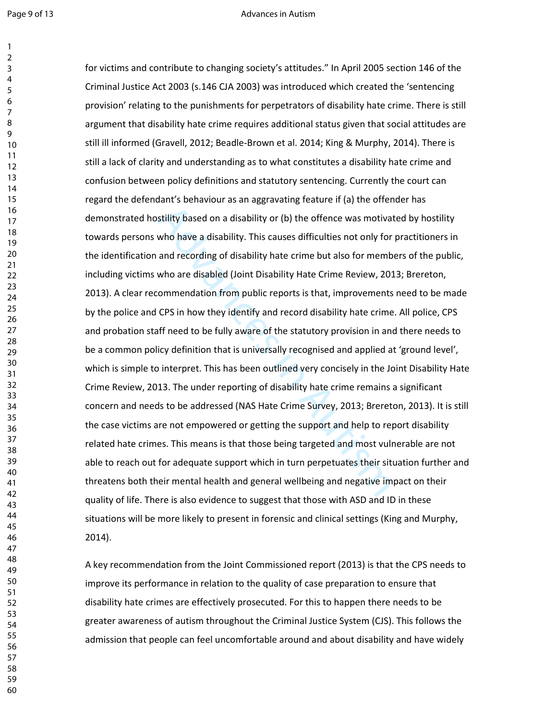$\mathbf{1}$ 

#### Page 9 of 13 Advances in Autism

Example and and advantage parameter (b) the solid statility based on a disability or (b) the offence was motiva<br>who have a disability. This causes difficulties not only for<br>and recording of disability hate crime but also f for victims and contribute to changing society's attitudes." In April 2005 section 146 of the Criminal Justice Act 2003 (s.146 CJA 2003) was introduced which created the 'sentencing provision' relating to the punishments for perpetrators of disability hate crime. There is still argument that disability hate crime requires additional status given that social attitudes are still ill informed (Gravell, 2012; Beadle-Brown et al. 2014; King & Murphy, 2014). There is still a lack of clarity and understanding as to what constitutes a disability hate crime and confusion between policy definitions and statutory sentencing. Currently the court can regard the defendant's behaviour as an aggravating feature if (a) the offender has demonstrated hostility based on a disability or (b) the offence was motivated by hostility towards persons who have a disability. This causes difficulties not only for practitioners in the identification and recording of disability hate crime but also for members of the public, including victims who are disabled (Joint Disability Hate Crime Review, 2013; Brereton, 2013). A clear recommendation from public reports is that, improvements need to be made by the police and CPS in how they identify and record disability hate crime. All police, CPS and probation staff need to be fully aware of the statutory provision in and there needs to be a common policy definition that is universally recognised and applied at 'ground level', which is simple to interpret. This has been outlined very concisely in the Joint Disability Hate Crime Review, 2013. The under reporting of disability hate crime remains a significant concern and needs to be addressed (NAS Hate Crime Survey, 2013; Brereton, 2013). It is still the case victims are not empowered or getting the support and help to report disability related hate crimes. This means is that those being targeted and most vulnerable are not able to reach out for adequate support which in turn perpetuates their situation further and threatens both their mental health and general wellbeing and negative impact on their quality of life. There is also evidence to suggest that those with ASD and ID in these situations will be more likely to present in forensic and clinical settings (King and Murphy, 2014).

A key recommendation from the Joint Commissioned report (2013) is that the CPS needs to improve its performance in relation to the quality of case preparation to ensure that disability hate crimes are effectively prosecuted. For this to happen there needs to be greater awareness of autism throughout the Criminal Justice System (CJS). This follows the admission that people can feel uncomfortable around and about disability and have widely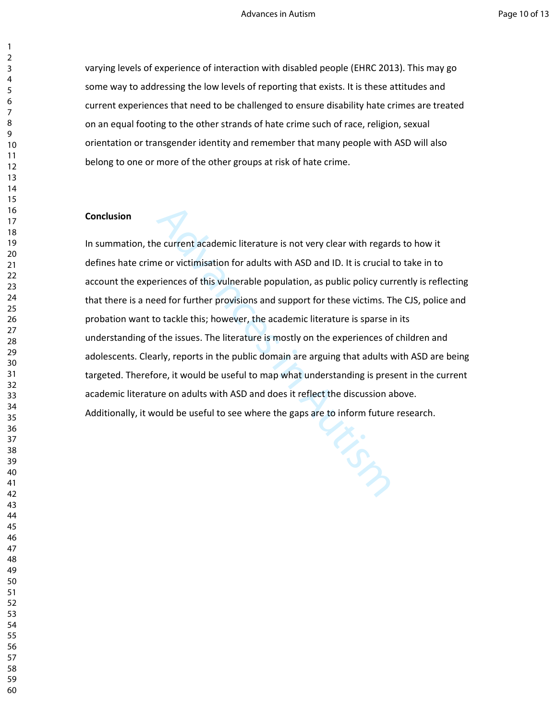### Advances in Autism **Page 10 of 13**

varying levels of experience of interaction with disabled people (EHRC 2013). This may go some way to addressing the low levels of reporting that exists. It is these attitudes and current experiences that need to be challenged to ensure disability hate crimes are treated on an equal footing to the other strands of hate crime such of race, religion, sexual orientation or transgender identity and remember that many people with ASD will also belong to one or more of the other groups at risk of hate crime.

# **Conclusion**

e current academic literature is not very clear with regard<br>and the correct conducts with ASD and ID. It is crucial<br>ariences of this vulnerable population, as public policy cur<br>ed for further provisions and support for the In summation, the current academic literature is not very clear with regards to how it defines hate crime or victimisation for adults with ASD and ID. It is crucial to take in to account the experiences of this vulnerable population, as public policy currently is reflecting that there is a need for further provisions and support for these victims. The CJS, police and probation want to tackle this; however, the academic literature is sparse in its understanding of the issues. The literature is mostly on the experiences of children and adolescents. Clearly, reports in the public domain are arguing that adults with ASD are being targeted. Therefore, it would be useful to map what understanding is present in the current academic literature on adults with ASD and does it reflect the discussion above. Additionally, it would be useful to see where the gaps are to inform future research.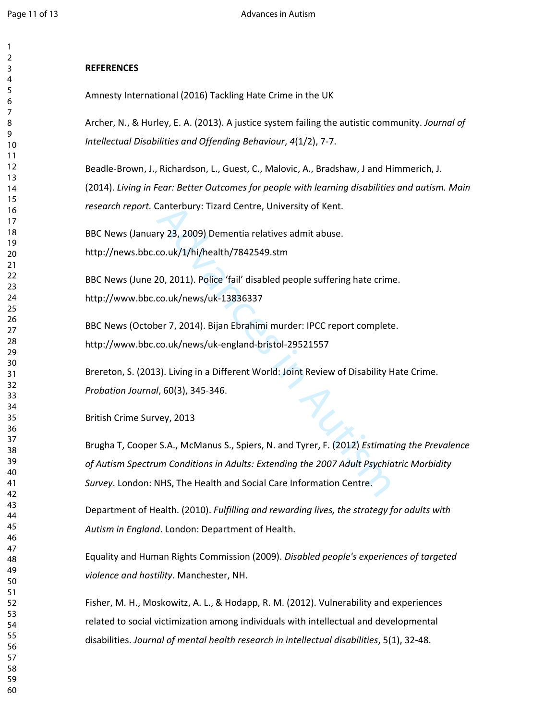# **REFERENCES**

Amnesty International (2016) Tackling Hate Crime in the UK

Archer, N., & Hurley, E. A. (2013). A justice system failing the autistic community. *Journal of Intellectual Disabilities and Offending Behaviour*, *4*(1/2), 7-7.

Beadle-Brown, J., Richardson, L., Guest, C., Malovic, A., Bradshaw, J and Himmerich, J. (2014). *Living in Fear: Better Outcomes for people with learning disabilities and autism. Main research report.* Canterbury: Tizard Centre, University of Kent.

BBC News (January 23, 2009) Dementia relatives admit abuse. http://news.bbc.co.uk/1/hi/health/7842549.stm

BBC News (June 20, 2011). Police 'fail' disabled people suffering hate crime. http://www.bbc.co.uk/news/uk-13836337

BBC News (October 7, 2014). Bijan Ebrahimi murder: IPCC report complete. http://www.bbc.co.uk/news/uk-england-bristol-29521557

Brereton, S. (2013). Living in a Different World: Joint Review of Disability Hate Crime. *Probation Journal*, 60(3), 345-346.

British Crime Survey, 2013

Canterbury: Tizard Centre, University of Kent.<br>
ry 23, 2009) Dementia relatives admit abuse.<br>
co.uk/1/hi/health/7842549.stm<br>
20, 2011). Police 'fail' disabled people suffering hate crim<br>
co.uk/news/uk-13836337<br>
per 7, 2014 Brugha T, Cooper S.A., McManus S., Spiers, N. and Tyrer, F. (2012) *Estimating the Prevalence of Autism Spectrum Conditions in Adults: Extending the 2007 Adult Psychiatric Morbidity Survey*. London: NHS, The Health and Social Care Information Centre.

Department of Health. (2010). *Fulfilling and rewarding lives, the strategy for adults with Autism in England*. London: Department of Health.

Equality and Human Rights Commission (2009). *Disabled people's experiences of targeted violence and hostility*. Manchester, NH.

Fisher, M. H., Moskowitz, A. L., & Hodapp, R. M. (2012). Vulnerability and experiences related to social victimization among individuals with intellectual and developmental disabilities. *Journal of mental health research in intellectual disabilities*, 5(1), 32-48.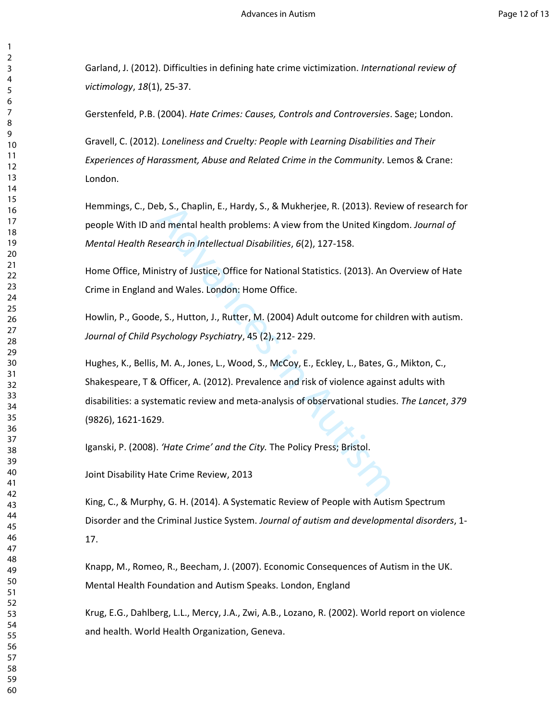Garland, J. (2012). Difficulties in defining hate crime victimization. *International review of victimology*, *18*(1), 25-37.

Gerstenfeld, P.B. (2004). *Hate Crimes: Causes, Controls and Controversies*. Sage; London.

Gravell, C. (2012). *Loneliness and Cruelty: People with Learning Disabilities and Their Experiences of Harassment, Abuse and Related Crime in the Community*. Lemos & Crane: London.

Hemmings, C., Deb, S., Chaplin, E., Hardy, S., & Mukherjee, R. (2013). Review of research for people With ID and mental health problems: A view from the United Kingdom. *Journal of Mental Health Research in Intellectual Disabilities*, *6*(2), 127-158.

Home Office, Ministry of Justice, Office for National Statistics. (2013). An Overview of Hate Crime in England and Wales. London: Home Office.

Howlin, P., Goode, S., Hutton, J., Rutter, M. (2004) Adult outcome for children with autism. *Journal of Child Psychology Psychiatry*, 45 (2), 212- 229.

eb, S., Chaplin, E., Hardy, S., & Mukherjee, R. (2013). Revind<br>
mental health problems: A view from the United Kinge<br>
search in Intellectual Disabilities, 6(2), 127-158.<br>
histry of Justice, Office for National Statistics. Hughes, K., Bellis, M. A., Jones, L., Wood, S., McCoy, E., Eckley, L., Bates, G., Mikton, C., Shakespeare, T & Officer, A. (2012). Prevalence and risk of violence against adults with disabilities: a systematic review and meta-analysis of observational studies. *The Lancet*, *379*  (9826), 1621-1629.

Iganski, P. (2008). *'Hate Crime' and the City.* The Policy Press; Bristol.

Joint Disability Hate Crime Review, 2013

King, C., & Murphy, G. H. (2014). A Systematic Review of People with Autism Spectrum Disorder and the Criminal Justice System. *Journal of autism and developmental disorders*, 1- 17.

Knapp, M., Romeo, R., Beecham, J. (2007). Economic Consequences of Autism in the UK. Mental Health Foundation and Autism Speaks. London, England

Krug, E.G., Dahlberg, L.L., Mercy, J.A., Zwi, A.B., Lozano, R. (2002). World report on violence and health. World Health Organization, Geneva.